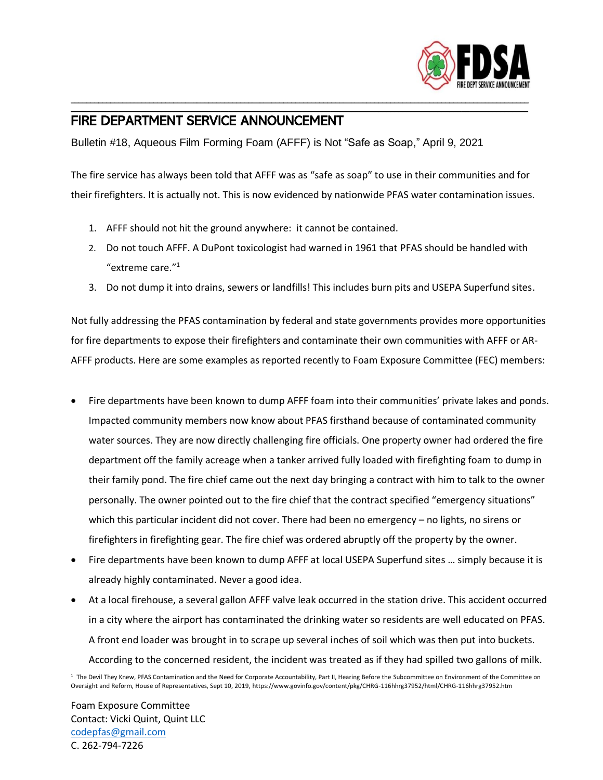

## FIRE DEPARTMENT SERVICE ANNOUNCEMENT

Bulletin #18, Aqueous Film Forming Foam (AFFF) is Not "Safe as Soap," April 9, 2021

The fire service has always been told that AFFF was as "safe as soap" to use in their communities and for their firefighters. It is actually not. This is now evidenced by nationwide PFAS water contamination issues.

\_\_\_\_\_\_\_\_\_\_\_\_\_\_\_\_\_\_\_\_\_\_\_\_\_\_\_\_\_\_\_\_\_\_\_\_\_\_\_\_\_\_\_\_\_\_\_\_\_\_\_\_\_\_\_\_\_\_\_\_\_\_\_\_\_\_\_\_\_\_\_\_\_\_\_\_\_\_\_\_\_\_\_\_\_\_\_\_\_\_\_\_\_\_\_\_\_\_\_\_\_\_\_\_\_\_\_\_\_\_\_\_\_\_\_\_ \_\_\_\_\_\_\_\_\_\_\_\_\_\_\_\_\_\_\_\_\_\_\_\_\_\_\_\_\_\_\_\_\_\_\_\_\_\_\_\_\_\_\_\_\_\_\_\_\_\_\_\_\_\_\_\_\_\_\_\_\_\_\_\_\_\_\_\_\_\_\_\_\_\_\_\_\_\_\_\_\_\_\_\_\_\_\_\_\_\_\_\_\_\_\_\_\_\_\_\_\_\_\_\_\_\_\_\_\_\_\_\_\_\_\_\_

- 1. AFFF should not hit the ground anywhere: it cannot be contained.
- 2. Do not touch AFFF. A DuPont toxicologist had warned in 1961 that PFAS should be handled with "extreme care."<sup>1</sup>
- 3. Do not dump it into drains, sewers or landfills! This includes burn pits and USEPA Superfund sites.

Not fully addressing the PFAS contamination by federal and state governments provides more opportunities for fire departments to expose their firefighters and contaminate their own communities with AFFF or AR-AFFF products. Here are some examples as reported recently to Foam Exposure Committee (FEC) members:

- Fire departments have been known to dump AFFF foam into their communities' private lakes and ponds. Impacted community members now know about PFAS firsthand because of contaminated community water sources. They are now directly challenging fire officials. One property owner had ordered the fire department off the family acreage when a tanker arrived fully loaded with firefighting foam to dump in their family pond. The fire chief came out the next day bringing a contract with him to talk to the owner personally. The owner pointed out to the fire chief that the contract specified "emergency situations" which this particular incident did not cover. There had been no emergency - no lights, no sirens or firefighters in firefighting gear. The fire chief was ordered abruptly off the property by the owner.
- Fire departments have been known to dump AFFF at local USEPA Superfund sites … simply because it is already highly contaminated. Never a good idea.
- At a local firehouse, a several gallon AFFF valve leak occurred in the station drive. This accident occurred in a city where the airport has contaminated the drinking water so residents are well educated on PFAS. A front end loader was brought in to scrape up several inches of soil which was then put into buckets. According to the concerned resident, the incident was treated as if they had spilled two gallons of milk.

<sup>1</sup> The Devil They Knew, PFAS Contamination and the Need for Corporate Accountability, Part II, Hearing Before the Subcommittee on Environment of the Committee on Oversight and Reform, House of Representatives, Sept 10, 2019, https://www.govinfo.gov/content/pkg/CHRG-116hhrg37952/html/CHRG-116hhrg37952.htm

Foam Exposure Committee Contact: Vicki Quint, Quint LLC [codepfas@gmail.com](mailto:codepfas@gmail.com) C. 262-794-7226